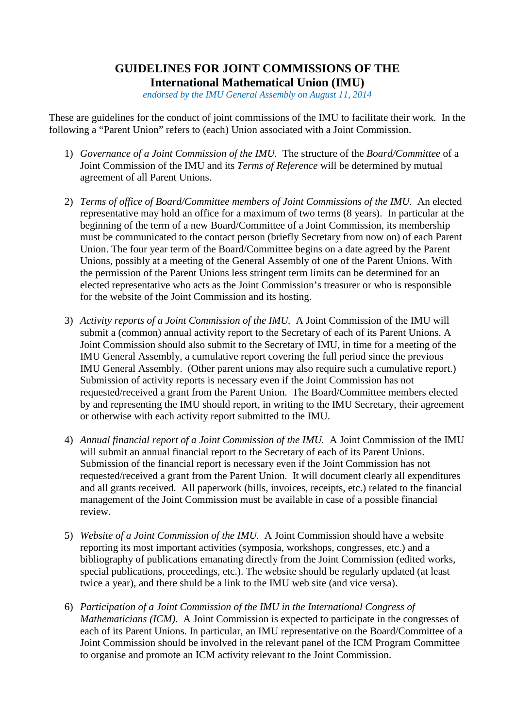## **GUIDELINES FOR JOINT COMMISSIONS OF THE International Mathematical Union (IMU)**

*endorsed by the IMU General Assembly on August 11, 2014*

These are guidelines for the conduct of joint commissions of the IMU to facilitate their work. In the following a "Parent Union" refers to (each) Union associated with a Joint Commission.

- 1) *Governance of a Joint Commission of the IMU.* The structure of the *Board/Committee* of a Joint Commission of the IMU and its *Terms of Reference* will be determined by mutual agreement of all Parent Unions.
- 2) *Terms of office of Board/Committee members of Joint Commissions of the IMU.* An elected representative may hold an office for a maximum of two terms (8 years). In particular at the beginning of the term of a new Board/Committee of a Joint Commission, its membership must be communicated to the contact person (briefly Secretary from now on) of each Parent Union. The four year term of the Board/Committee begins on a date agreed by the Parent Unions, possibly at a meeting of the General Assembly of one of the Parent Unions. With the permission of the Parent Unions less stringent term limits can be determined for an elected representative who acts as the Joint Commission's treasurer or who is responsible for the website of the Joint Commission and its hosting.
- 3) *Activity reports of a Joint Commission of the IMU.* A Joint Commission of the IMU will submit a (common) annual activity report to the Secretary of each of its Parent Unions. A Joint Commission should also submit to the Secretary of IMU, in time for a meeting of the IMU General Assembly, a cumulative report covering the full period since the previous IMU General Assembly. (Other parent unions may also require such a cumulative report.) Submission of activity reports is necessary even if the Joint Commission has not requested/received a grant from the Parent Union. The Board/Committee members elected by and representing the IMU should report, in writing to the IMU Secretary, their agreement or otherwise with each activity report submitted to the IMU.
- 4) *Annual financial report of a Joint Commission of the IMU.* A Joint Commission of the IMU will submit an annual financial report to the Secretary of each of its Parent Unions. Submission of the financial report is necessary even if the Joint Commission has not requested/received a grant from the Parent Union. It will document clearly all expenditures and all grants received. All paperwork (bills, invoices, receipts, etc.) related to the financial management of the Joint Commission must be available in case of a possible financial review.
- 5) *Website of a Joint Commission of the IMU.* A Joint Commission should have a website reporting its most important activities (symposia, workshops, congresses, etc.) and a bibliography of publications emanating directly from the Joint Commission (edited works, special publications, proceedings, etc.). The website should be regularly updated (at least twice a year), and there shuld be a link to the IMU web site (and vice versa).
- 6) *Participation of a Joint Commission of the IMU in the International Congress of Mathematicians (ICM).* A Joint Commission is expected to participate in the congresses of each of its Parent Unions. In particular, an IMU representative on the Board/Committee of a Joint Commission should be involved in the relevant panel of the ICM Program Committee to organise and promote an ICM activity relevant to the Joint Commission.